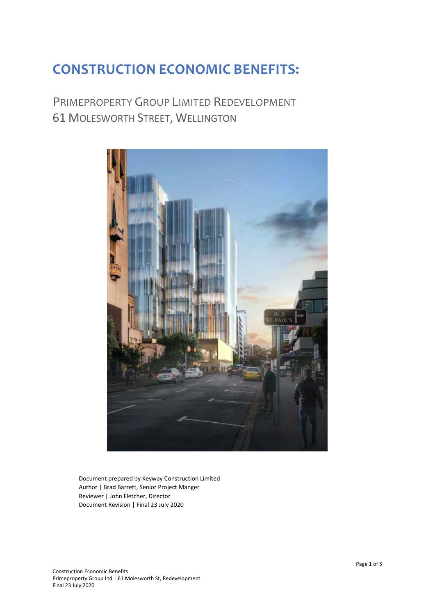# **CONSTRUCTION ECONOMIC BENEFITS:**

## PRIMEPROPERTY GROUP LIMITED REDEVELOPMENT 61 MOLESWORTH STREET, WELLINGTON



Document prepared by Keyway Construction Limited Author | Brad Barrett, Senior Project Manger Reviewer | John Fletcher, Director Document Revision | Final 23 July 2020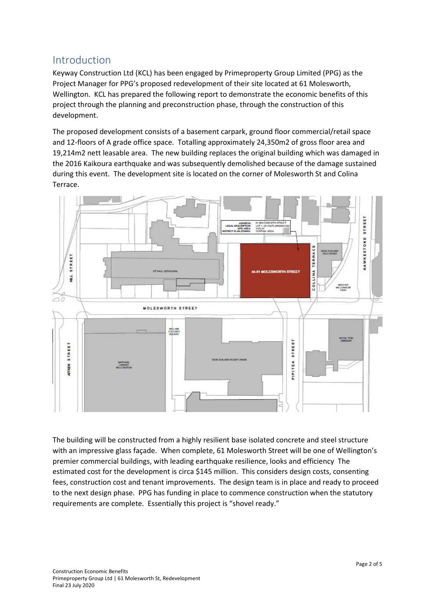## Introduction

Keyway Construction Ltd (KCL) has been engaged by Primeproperty Group Limited (PPG) as the Project Manager for PPG's proposed redevelopment of their site located at 61 Molesworth, Wellington. KCL has prepared the following report to demonstrate the economic benefits of this project through the planning and preconstruction phase, through the construction of this development.

The proposed development consists of a basement carpark, ground floor commercial/retail space and 12-floors of A grade office space. Totalling approximately 24,350m2 of gross floor area and 19,214m2 nett leasable area. The new building replaces the original building which was damaged in the 2016 Kaikoura earthquake and was subsequently demolished because of the damage sustained during this event. The development site is located on the corner of Molesworth St and Colina Terrace.



The building will be constructed from a highly resilient base isolated concrete and steel structure with an impressive glass façade. When complete, 61 Molesworth Street will be one of Wellington's premier commercial buildings, with leading earthquake resilience, looks and efficiency The estimated cost for the development is circa \$145 million. This considers design costs, consenting fees, construction cost and tenant improvements. The design team is in place and ready to proceed to the next design phase. PPG has funding in place to commence construction when the statutory requirements are complete. Essentially this project is "shovel ready."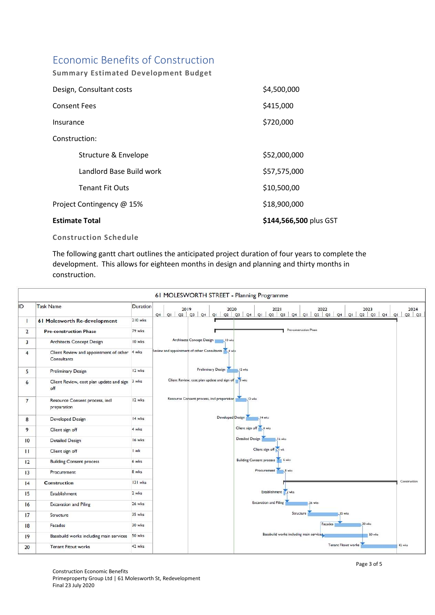## Economic Benefits of Construction

**Summary Estimated Development Budget** 

| Design, Consultant costs  | \$4,500,000            |
|---------------------------|------------------------|
| <b>Consent Fees</b>       | \$415,000              |
| Insurance                 | \$720,000              |
| Construction:             |                        |
| Structure & Envelope      | \$52,000,000           |
| Landlord Base Build work  | \$57,575,000           |
| <b>Tenant Fit Outs</b>    | \$10,500,00            |
| Project Contingency @ 15% | \$18,900,000           |
| <b>Estimate Total</b>     | \$144,566,500 plus GST |

#### **Construction Schedule**

The following gantt chart outlines the anticipated project duration of four years to complete the development. This allows for eighteen months in design and planning and thirty months in construction.

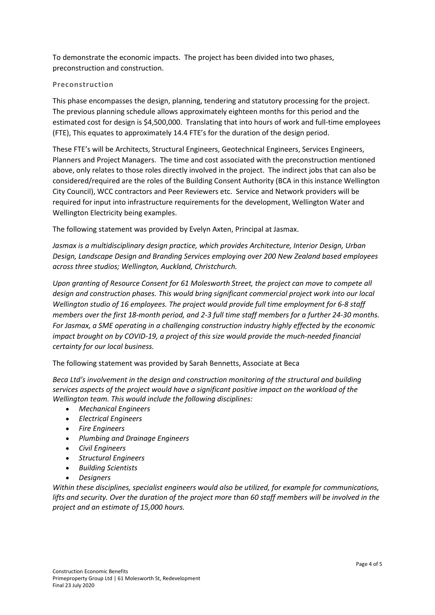To demonstrate the economic impacts. The project has been divided into two phases, preconstruction and construction.

#### **Preconstruction**

This phase encompasses the design, planning, tendering and statutory processing for the project. The previous planning schedule allows approximately eighteen months for this period and the estimated cost for design is \$4,500,000. Translating that into hours of work and full-time employees (FTE), This equates to approximately 14.4 FTE's for the duration of the design period.

These FTE's will be Architects, Structural Engineers, Geotechnical Engineers, Services Engineers, Planners and Project Managers. The time and cost associated with the preconstruction mentioned above, only relates to those roles directly involved in the project. The indirect jobs that can also be considered/required are the roles of the Building Consent Authority (BCA in this instance Wellington City Council), WCC contractors and Peer Reviewers etc. Service and Network providers will be required for input into infrastructure requirements for the development, Wellington Water and Wellington Electricity being examples.

The following statement was provided by Evelyn Axten, Principal at Jasmax.

*Jasmax is a multidisciplinary design practice, which provides Architecture, Interior Design, Urban Design, Landscape Design and Branding Services employing over 200 New Zealand based employees across three studios; Wellington, Auckland, Christchurch.* 

*Upon granting of Resource Consent for 61 Molesworth Street, the project can move to compete all design and construction phases. This would bring significant commercial project work into our local Wellington studio of 16 employees. The project would provide full time employment for 6-8 staff members over the first 18-month period, and 2-3 full time staff members for a further 24-30 months. For Jasmax, a SME operating in a challenging construction industry highly effected by the economic impact brought on by COVID-19, a project of this size would provide the much-needed financial certainty for our local business.* 

The following statement was provided by Sarah Bennetts, Associate at Beca

*Beca Ltd's involvement in the design and construction monitoring of the structural and building services aspects of the project would have a significant positive impact on the workload of the Wellington team. This would include the following disciplines:*

- *Mechanical Engineers*
- *Electrical Engineers*
- *Fire Engineers*
- *Plumbing and Drainage Engineers*
- *Civil Engineers*
- *Structural Engineers*
- *Building Scientists*
- *Designers*

*Within these disciplines, specialist engineers would also be utilized, for example for communications,*  lifts and security. Over the duration of the project more than 60 staff members will be involved in the *project and an estimate of 15,000 hours.*